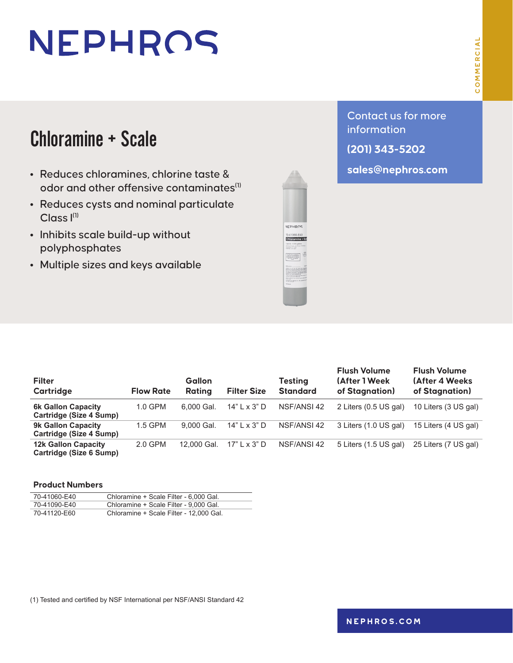# NEPHROS

### Chloramine + Scale

- **•** Reduces chloramines, chlorine taste & odor and other offensive contaminates $^{\text{\tiny{\textsf{(1)}}}}$
- **•** Reduces cysts and nominal particulate  $Class I<sup>(1)</sup>$
- **•** Inhibits scale build-up without polyphosphates
- **•** Multiple sizes and keys available

**(201) 343-5202**

**sales@nephros.com**

**Filter Cartridge Flow Rate Gallon Rating Filter Size Testing Standard Flush Volume (After 1 Week of Stagnation) Flush Volume (After 4 Weeks of Stagnation) 6k Gallon Capacity Cartridge (Size 4 Sump)** 1.0 GPM 6,000 Gal. 14" L x 3" D NSF/ANSI 42 2 Liters (0.5 US gal) 10 Liters (3 US gal) **9k Gallon Capacity Cartridge (Size 4 Sump)** 1.5 GPM 9,000 Gal. 14" L x 3" D NSF/ANSI 42 3 Liters (1.0 US gal) 15 Liters (4 US gal) **12k Gallon Capacity Cartridge (Size 6 Sump)** 2.0 GPM 12,000 Gal. 17" L x 3" D NSF/ANSI 42 5 Liters (1.5 US gal) 25 Liters (7 US gal)

#### **Product Numbers**

| 70-41060-E40 | Chloramine + Scale Filter - 6,000 Gal.  |
|--------------|-----------------------------------------|
| 70-41090-E40 | Chloramine + Scale Filter - 9,000 Gal.  |
| 70-41120-E60 | Chloramine + Scale Filter - 12,000 Gal. |

(1) Tested and certified by NSF International per NSF/ANSI Standard 42

**[nephros.com](https://www.nephros.com/)**